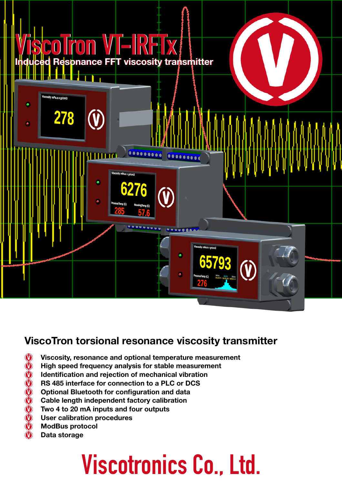

### **ViscoTron torsional resonance viscosity transmitter**

- **Viscosity, resonance and optional temperature measurement**
- **High speed frequency analysis for stable measurement**
- **Identification and rejection of mechanical vibration**
- **RS 485 interface for connection to a PLC or DCS**
- 39999999 **Optional Bluetooth for configuration and data**
- **Cable length independent factory calibration**
- **Two 4 to 20 mA inputs and four outputs**
- **User calibration procedures**
- **ModBus protocol**
- **Data storage**

# **Viscotronics Co., Ltd.**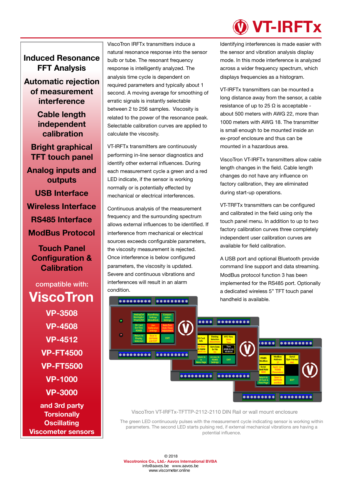#### **Induced Resonance FFT Analysis**

**Automatic rejection of measurement interference** 

> **Cable length independent calibration**

**Bright graphical TFT touch panel Analog inputs and outputs USB Interface Wireless Interface RS485 Interface ModBus Protocol** 

**Touch Panel Configuration & Calibration**

### compatible with: **ViscoTron VP-3508 VP-4508 VP-4512 VP-FT4500 VP-FT5500 VP-1000 VP-3000 and 3rd party**

**Torsionally Oscillating Viscometer sensors** ViscoTron IRFTx transmitters induce a natural resonance response into the sensor bulb or tube. The resonant frequency response is intelligently analyzed. The analysis time cycle is dependent on required parameters and typically about 1 second. A moving average for smoothing of erratic signals is instantly selectable between 2 to 256 samples. Viscosity is related to the power of the resonance peak. Selectable calibration curves are applied to calculate the viscosity.

VT-IRFTx transmitters are continuously performing in-line sensor diagnostics and identify other external influences. During each measurement cycle a green and a red LED indicate, if the sensor is working normally or is potentially effected by mechanical or electrical interferences.

Continuous analysis of the measurement frequency and the surrounding spectrum allows external influences to be identified. If interference from mechanical or electrical sources exceeds configurable parameters, the viscosity measurement is rejected. Once interference is below configured parameters, the viscosity is updated. Severe and continuous vibrations and interferences will result in an alarm condition.

### **VT-IRFTx**

Identifying interferences is made easier with the sensor and vibration analysis display mode. In this mode interference is analyzed across a wider frequency spectrum, which displays frequencies as a histogram.

VT-IRFTx transmitters can be mounted a long distance away from the sensor, a cable resistance of up to 25  $\Omega$  is acceptable about 500 meters with AWG 22, more than 1000 meters with AWG 18. The transmitter is small enough to be mounted inside an ex-proof enclosure and thus can be mounted in a hazardous area.

ViscoTron VT-IRFTx transmitters allow cable length changes in the field. Cable length changes do not have any influence on factory calibration, they are eliminated during start-up operations.

VT-TRFTx transmitters can be configured and calibrated in the field using only the touch panel menu. In addition to up to two factory calibration curves three completely independent user calibration curves are available for field calibration.

A USB port and optional Bluetooth provide command line support and data streaming. ModBus protocol function 3 has been implemented for the RS485 port. Optionally a dedicated wireless 5" TFT touch panel handheld is available.



ViscoTron VT-IRFTx-TFTTP-2112-2110 DIN Rail or wall mount enclosure

The green LED continuously pulses with the measurement cycle indicating sensor is working within parameters. The second LED starts pulsing red, if external mechanical vibrations are having a potential influence.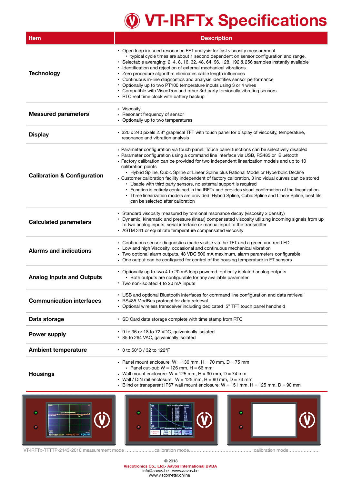## **VT-IRFTx Specifications**

| Item                                   | <b>Description</b>                                                                                                                                                                                                                                                                                                                                                                                                                                                                                                                                                                                                                                                                                                                                                                                                                       |  |  |  |  |  |
|----------------------------------------|------------------------------------------------------------------------------------------------------------------------------------------------------------------------------------------------------------------------------------------------------------------------------------------------------------------------------------------------------------------------------------------------------------------------------------------------------------------------------------------------------------------------------------------------------------------------------------------------------------------------------------------------------------------------------------------------------------------------------------------------------------------------------------------------------------------------------------------|--|--|--|--|--|
| <b>Technology</b>                      | • Open loop induced resonance FFT analysis for fast viscosity measurement<br>• typical cycle times are about 1 second dependent on sensor configuration and range.<br>· Selectable averaging: 2. 4, 8, 16, 32, 48, 64, 96, 128, 192 & 256 samples instantly available<br>• Identification and rejection of external mechanical vibrations<br>· Zero procedure algorithm eliminates cable length influences<br>• Continuous in-line diagnostics and analysis identifies sensor performance<br>• Optionally up to two PT100 temperature inputs using 3 or 4 wires<br>• Compatible with ViscoTron and other 3rd party torsionally vibrating sensors<br>• RTC real time clock with battery backup                                                                                                                                            |  |  |  |  |  |
| <b>Measured parameters</b>             | • Viscosity<br>Resonant frequency of sensor<br>• Optionally up to two temperatures                                                                                                                                                                                                                                                                                                                                                                                                                                                                                                                                                                                                                                                                                                                                                       |  |  |  |  |  |
| <b>Display</b>                         | · 320 x 240 pixels 2.8" graphical TFT with touch panel for display of viscosity, temperature,<br>resonance and vibration analysis                                                                                                                                                                                                                                                                                                                                                                                                                                                                                                                                                                                                                                                                                                        |  |  |  |  |  |
| <b>Calibration &amp; Configuration</b> | • Parameter configuration via touch panel. Touch panel functions can be selectively disabled<br>• Parameter configuration using a command line interface via USB, RS485 or Bluetooth<br>• Factory calibration can be provided for two independent linearization models and up to 10<br>calibration points<br>• Hybrid Spline, Cubic Spline or Linear Spline plus Rational Model or Hyperbolic Decline<br>• Customer calibration facility independent of factory calibration, 3 individual curves can be stored<br>• Usable with third party sensors, no external support is required<br>• Function is entirely contained in the IRFTx and provides visual confirmation of the linearization.<br>• Three linearization models are provided: Hybrid Spline, Cubic Spline and Linear Spline, best fits<br>can be selected after calibration |  |  |  |  |  |
| <b>Calculated parameters</b>           | • Standard viscosity measured by torsional resonance decay (viscosity x density)<br>• Dynamic, kinematic and pressure (linear) compensated viscosity utilizing incoming signals from up<br>to two analog inputs, serial interface or manual input to the transmitter<br>• ASTM 341 or equal rate temperature compensated viscosity                                                                                                                                                                                                                                                                                                                                                                                                                                                                                                       |  |  |  |  |  |
| <b>Alarms and indications</b>          | • Continuous sensor diagnostics made visible via the TFT and a green and red LED<br>• Low and high Viscosity, occasional and continuous mechanical vibration<br>• Two optional alarm outputs, 48 VDC 500 mA maximum, alarm parameters configurable<br>• One output can be configured for control of the housing temperature in FT sensors                                                                                                                                                                                                                                                                                                                                                                                                                                                                                                |  |  |  |  |  |
| <b>Analog Inputs and Outputs</b>       | • Optionally up to two 4 to 20 mA loop powered, optically isolated analog outputs<br>• Both outputs are configurable for any available parameter<br>• Two non-isolated 4 to 20 mA inputs                                                                                                                                                                                                                                                                                                                                                                                                                                                                                                                                                                                                                                                 |  |  |  |  |  |
| <b>Communication interfaces</b>        | • USB and optional Bluetooth interfaces for command line configuration and data retrieval<br>• RS485 ModBus protocol for data retrieval<br>• Optional wireless transceiver including dedicated 5" TFT touch panel hendheld                                                                                                                                                                                                                                                                                                                                                                                                                                                                                                                                                                                                               |  |  |  |  |  |
| Data storage                           | • SD Card data storage complete with time stamp from RTC                                                                                                                                                                                                                                                                                                                                                                                                                                                                                                                                                                                                                                                                                                                                                                                 |  |  |  |  |  |
| <b>Power supply</b>                    | • 9 to 36 or 18 to 72 VDC, galvanically isolated<br>• 85 to 264 VAC, galvanically isolated                                                                                                                                                                                                                                                                                                                                                                                                                                                                                                                                                                                                                                                                                                                                               |  |  |  |  |  |
| <b>Ambient temperature</b>             | • 0 to 50°C / 32 to 122°F                                                                                                                                                                                                                                                                                                                                                                                                                                                                                                                                                                                                                                                                                                                                                                                                                |  |  |  |  |  |
| <b>Housings</b>                        | • Panel mount enclosure: $W = 130$ mm, $H = 70$ mm, $D = 75$ mm<br>• Panel cut-out: $W = 126$ mm, $H = 66$ mm<br>• Wall mount enclosure: $W = 125$ mm, $H = 90$ mm, $D = 74$ mm<br>• Wall / DIN rail enclosure: $W = 125$ mm, $H = 90$ mm, $D = 74$ mm<br>• Blind or transparent IP67 wall mount enclosure: $W = 151$ mm, $H = 125$ mm, $D = 90$ mm                                                                                                                                                                                                                                                                                                                                                                                                                                                                                      |  |  |  |  |  |



VT-IRFTx-TFTTP-2143-2010 measurement mode ……..….…..…calibration mode………….……………………….. calibration mode……………..…

© 2018 **Viscotronics Co., Ltd.- Aavos International BVBA** info@aavos.be www.aavos.be [www.viscom](mailto:info@viscotronics.com)[eter.online](http://www.viscotronics.com)